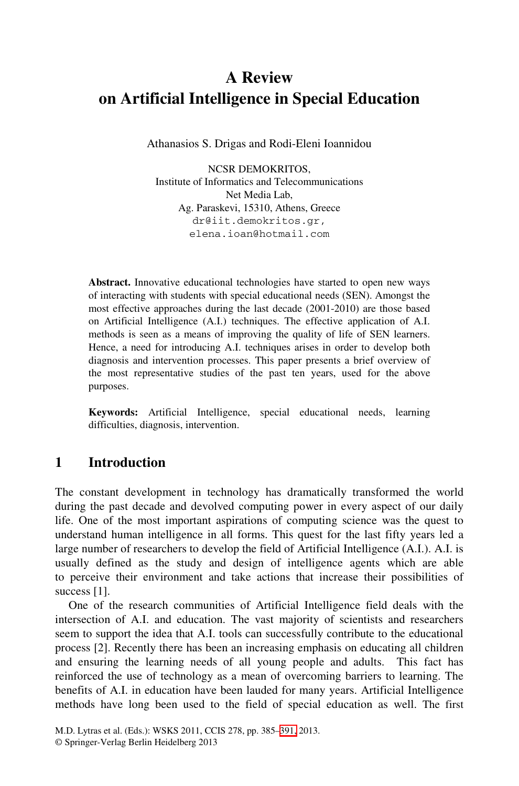# **A Review on Artificial Intelligence in Special Education**

Athanasios S. Drigas and Rodi-Eleni Ioannidou

NCSR DEMOKRITOS, Institute of Informatics and Telecommunications Net Media Lab, Ag. Paraskevi, 15310, Athens, Greece dr@iit.demokritos.gr, elena.ioan@hotmail.com

**Abstract.** Innovative educational technologies have started to open new ways of interacting with students with special educational needs (SEN). Amongst the most effective approaches during the last decade (2001-2010) are those based on Artificial Intelligence (A.I.) techniques. The effective application of A.I. methods is seen as a means of improving the quality of life of SEN learners. Hence, a need for introducing A.I. techniques arises in order to develop both diagnosis and intervention processes. This paper presents a brief overview of the most representative studies of the past ten years, used for the above purposes.

**Keywords:** Artificial Intelligence, special educational needs, learning difficulties, diagnosis, intervention.

## **1 Introduction**

The constant development in technology has dramatically transformed the world during the past decade and devolved computing power in every aspect of our daily life. One of the most important aspirations of computing science was the quest to understand human intelligence in all forms. This quest for the last fifty years led a large number of researchers to develop the field of Artificial Intelligence (A.I.). A.I. is usually defined as the study and design of intelligence agents which are able to perceive their environment and take actions that increase their possibilities of success [1].

One of the research communities of Artificial Intelligence field deals with the intersection of A.I. and e[duca](#page-6-0)tion. The vast majority of scientists and researchers seem to support the idea that A.I. tools can successfully contribute to the educational process [2]. Recently there has been an increasing emphasis on educating all children and ensuring the learning needs of all young people and adults. This fact has reinforced the use of technology as a mean of overcoming barriers to learning. The benefits of A.I. in education have been lauded for many years. Artificial Intelligence methods have long been used to the field of special education as well. The first

M.D. Lytras et al. (Eds.): WSKS 2011, CCIS 278, pp. 385–391, 2013. © Springer-Verlag Berlin Heidelberg 2013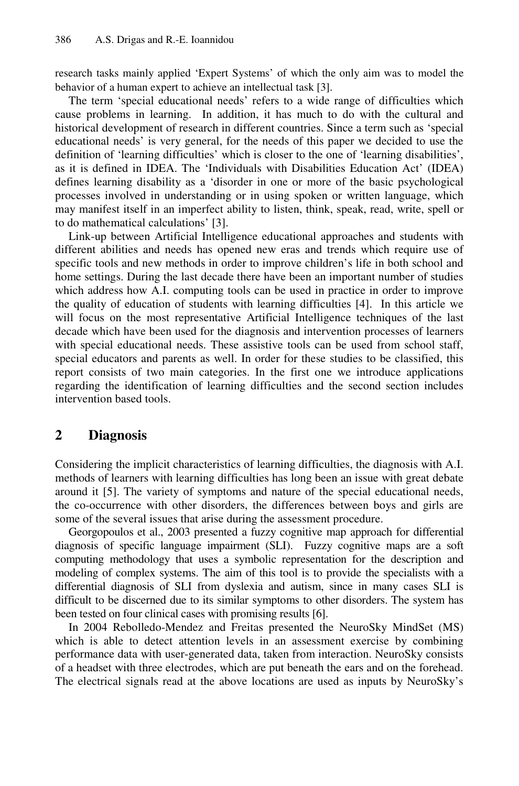research tasks mainly applied 'Expert Systems' of which the only aim was to model the behavior of a human expert to achieve an intellectual task [3].

The term 'special educational needs' refers to a wide range of difficulties which cause problems in learning. In addition, it has much to do with the cultural and historical development of research in different countries. Since a term such as 'special educational needs' is very general, for the needs of this paper we decided to use the definition of 'learning difficulties' which is closer to the one of 'learning disabilities', as it is defined in IDEA. The 'Individuals with Disabilities Education Act' (IDEA) defines learning disability as a 'disorder in one or more of the basic psychological processes involved in understanding or in using spoken or written language, which may manifest itself in an imperfect ability to listen, think, speak, read, write, spell or to do mathematical calculations' [3].

Link-up between Artificial Intelligence educational approaches and students with different abilities and needs has opened new eras and trends which require use of specific tools and new methods in order to improve children's life in both school and home settings. During the last decade there have been an important number of studies which address how A.I. computing tools can be used in practice in order to improve the quality of education of students with learning difficulties [4]. In this article we will focus on the most representative Artificial Intelligence techniques of the last decade which have been used for the diagnosis and intervention processes of learners with special educational needs. These assistive tools can be used from school staff, special educators and parents as well. In order for these studies to be classified, this report consists of two main categories. In the first one we introduce applications regarding the identification of learning difficulties and the second section includes intervention based tools.

## **2 Diagnosis**

Considering the implicit characteristics of learning difficulties, the diagnosis with A.I. methods of learners with learning difficulties has long been an issue with great debate around it [5]. The variety of symptoms and nature of the special educational needs, the co-occurrence with other disorders, the differences between boys and girls are some of the several issues that arise during the assessment procedure.

Georgopoulos et al., 2003 presented a fuzzy cognitive map approach for differential diagnosis of specific language impairment (SLI). Fuzzy cognitive maps are a soft computing methodology that uses a symbolic representation for the description and modeling of complex systems. The aim of this tool is to provide the specialists with a differential diagnosis of SLI from dyslexia and autism, since in many cases SLI is difficult to be discerned due to its similar symptoms to other disorders. The system has been tested on four clinical cases with promising results [6].

In 2004 Rebolledo-Mendez and Freitas presented the NeuroSky MindSet (MS) which is able to detect attention levels in an assessment exercise by combining performance data with user-generated data, taken from interaction. NeuroSky consists of a headset with three electrodes, which are put beneath the ears and on the forehead. The electrical signals read at the above locations are used as inputs by NeuroSky's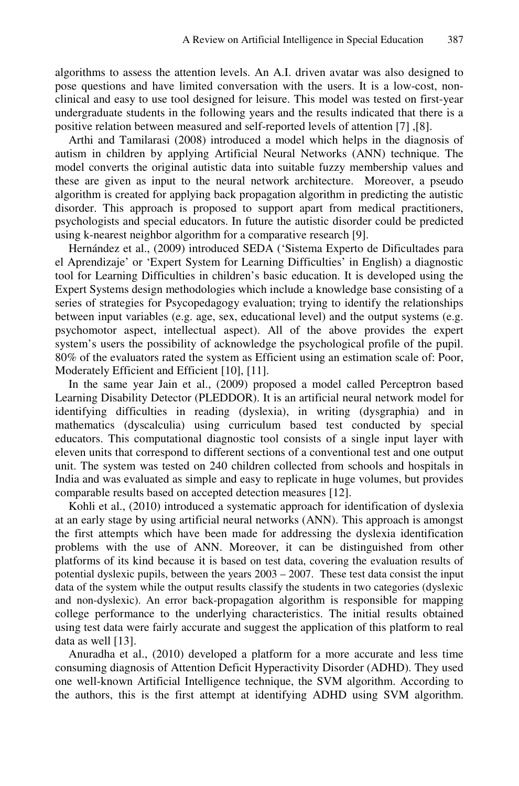algorithms to assess the attention levels. An A.I. driven avatar was also designed to pose questions and have limited conversation with the users. It is a low-cost, nonclinical and easy to use tool designed for leisure. This model was tested on first-year undergraduate students in the following years and the results indicated that there is a positive relation between measured and self-reported levels of attention [7] ,[8].

Arthi and Tamilarasi (2008) introduced a model which helps in the diagnosis of autism in children by applying Artificial Neural Networks (ANN) technique. The model converts the original autistic data into suitable fuzzy membership values and these are given as input to the neural network architecture. Moreover, a pseudo algorithm is created for applying back propagation algorithm in predicting the autistic disorder. This approach is proposed to support apart from medical practitioners, psychologists and special educators. In future the autistic disorder could be predicted using k-nearest neighbor algorithm for a comparative research [9].

Hernández et al., (2009) introduced SEDA ('Sistema Experto de Dificultades para el Aprendizaje' or 'Expert System for Learning Difficulties' in English) a diagnostic tool for Learning Difficulties in children's basic education. It is developed using the Expert Systems design methodologies which include a knowledge base consisting of a series of strategies for Psycopedagogy evaluation; trying to identify the relationships between input variables (e.g. age, sex, educational level) and the output systems (e.g. psychomotor aspect, intellectual aspect). All of the above provides the expert system's users the possibility of acknowledge the psychological profile of the pupil. 80% of the evaluators rated the system as Efficient using an estimation scale of: Poor, Moderately Efficient and Efficient [10], [11].

In the same year Jain et al., (2009) proposed a model called Perceptron based Learning Disability Detector (PLEDDOR). It is an artificial neural network model for identifying difficulties in reading (dyslexia), in writing (dysgraphia) and in mathematics (dyscalculia) using curriculum based test conducted by special educators. This computational diagnostic tool consists of a single input layer with eleven units that correspond to different sections of a conventional test and one output unit. The system was tested on 240 children collected from schools and hospitals in India and was evaluated as simple and easy to replicate in huge volumes, but provides comparable results based on accepted detection measures [12].

Kohli et al., (2010) introduced a systematic approach for identification of dyslexia at an early stage by using artificial neural networks (ANN). This approach is amongst the first attempts which have been made for addressing the dyslexia identification problems with the use of ANN. Moreover, it can be distinguished from other platforms of its kind because it is based on test data, covering the evaluation results of potential dyslexic pupils, between the years 2003 – 2007. These test data consist the input data of the system while the output results classify the students in two categories (dyslexic and non-dyslexic). An error back-propagation algorithm is responsible for mapping college performance to the underlying characteristics. The initial results obtained using test data were fairly accurate and suggest the application of this platform to real data as well [13].

Anuradha et al., (2010) developed a platform for a more accurate and less time consuming diagnosis of Attention Deficit Hyperactivity Disorder (ADHD). They used one well-known Artificial Intelligence technique, the SVM algorithm. According to the authors, this is the first attempt at identifying ADHD using SVM algorithm.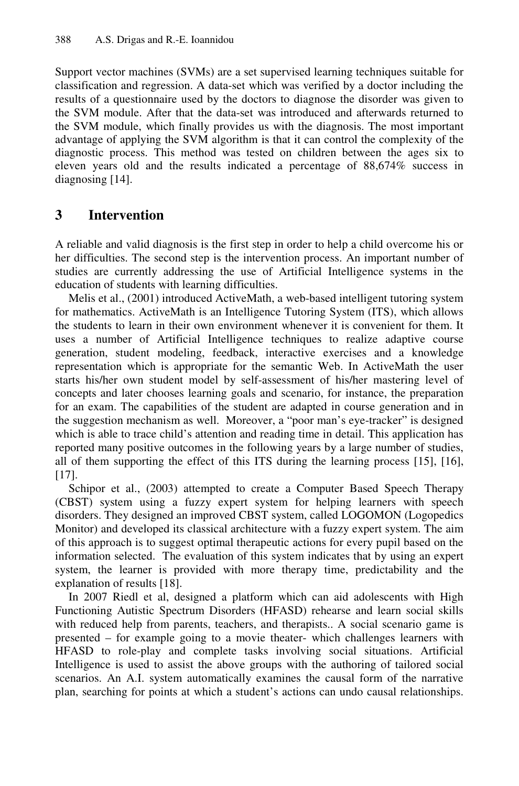Support vector machines (SVMs) are a set supervised learning techniques suitable for classification and regression. A data-set which was verified by a doctor including the results of a questionnaire used by the doctors to diagnose the disorder was given to the SVM module. After that the data-set was introduced and afterwards returned to the SVM module, which finally provides us with the diagnosis. The most important advantage of applying the SVM algorithm is that it can control the complexity of the diagnostic process. This method was tested on children between the ages six to eleven years old and the results indicated a percentage of 88,674% success in diagnosing [14].

## **3 Intervention**

A reliable and valid diagnosis is the first step in order to help a child overcome his or her difficulties. The second step is the intervention process. An important number of studies are currently addressing the use of Artificial Intelligence systems in the education of students with learning difficulties.

Melis et al., (2001) introduced ActiveMath, a web-based intelligent tutoring system for mathematics. ActiveMath is an Intelligence Tutoring System (ITS), which allows the students to learn in their own environment whenever it is convenient for them. It uses a number of Artificial Intelligence techniques to realize adaptive course generation, student modeling, feedback, interactive exercises and a knowledge representation which is appropriate for the semantic Web. In ActiveMath the user starts his/her own student model by self-assessment of his/her mastering level of concepts and later chooses learning goals and scenario, for instance, the preparation for an exam. The capabilities of the student are adapted in course generation and in the suggestion mechanism as well. Moreover, a "poor man's eye-tracker" is designed which is able to trace child's attention and reading time in detail. This application has reported many positive outcomes in the following years by a large number of studies, all of them supporting the effect of this ITS during the learning process [15], [16], [17].

Schipor et al., (2003) attempted to create a Computer Based Speech Therapy (CBST) system using a fuzzy expert system for helping learners with speech disorders. They designed an improved CBST system, called LOGOMON (Logopedics Monitor) and developed its classical architecture with a fuzzy expert system. The aim of this approach is to suggest optimal therapeutic actions for every pupil based on the information selected. The evaluation of this system indicates that by using an expert system, the learner is provided with more therapy time, predictability and the explanation of results [18].

In 2007 Riedl et al, designed a platform which can aid adolescents with High Functioning Autistic Spectrum Disorders (HFASD) rehearse and learn social skills with reduced help from parents, teachers, and therapists.. A social scenario game is presented – for example going to a movie theater- which challenges learners with HFASD to role-play and complete tasks involving social situations. Artificial Intelligence is used to assist the above groups with the authoring of tailored social scenarios. An A.I. system automatically examines the causal form of the narrative plan, searching for points at which a student's actions can undo causal relationships.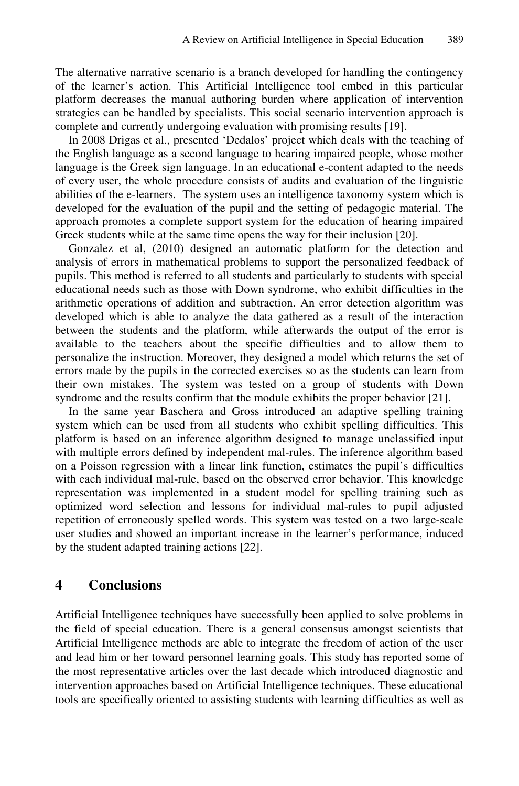The alternative narrative scenario is a branch developed for handling the contingency of the learner's action. This Artificial Intelligence tool embed in this particular platform decreases the manual authoring burden where application of intervention strategies can be handled by specialists. This social scenario intervention approach is complete and currently undergoing evaluation with promising results [19].

In 2008 Drigas et al., presented 'Dedalos' project which deals with the teaching of the English language as a second language to hearing impaired people, whose mother language is the Greek sign language. In an educational e-content adapted to the needs of every user, the whole procedure consists of audits and evaluation of the linguistic abilities of the e-learners. The system uses an intelligence taxonomy system which is developed for the evaluation of the pupil and the setting of pedagogic material. The approach promotes a complete support system for the education of hearing impaired Greek students while at the same time opens the way for their inclusion [20].

Gonzalez et al, (2010) designed an automatic platform for the detection and analysis of errors in mathematical problems to support the personalized feedback of pupils. This method is referred to all students and particularly to students with special educational needs such as those with Down syndrome, who exhibit difficulties in the arithmetic operations of addition and subtraction. An error detection algorithm was developed which is able to analyze the data gathered as a result of the interaction between the students and the platform, while afterwards the output of the error is available to the teachers about the specific difficulties and to allow them to personalize the instruction. Moreover, they designed a model which returns the set of errors made by the pupils in the corrected exercises so as the students can learn from their own mistakes. The system was tested on a group of students with Down syndrome and the results confirm that the module exhibits the proper behavior [21].

In the same year Baschera and Gross introduced an adaptive spelling training system which can be used from all students who exhibit spelling difficulties. This platform is based on an inference algorithm designed to manage unclassified input with multiple errors defined by independent mal-rules. The inference algorithm based on a Poisson regression with a linear link function, estimates the pupil's difficulties with each individual mal-rule, based on the observed error behavior. This knowledge representation was implemented in a student model for spelling training such as optimized word selection and lessons for individual mal-rules to pupil adjusted repetition of erroneously spelled words. This system was tested on a two large-scale user studies and showed an important increase in the learner's performance, induced by the student adapted training actions [22].

## **4 Conclusions**

Artificial Intelligence techniques have successfully been applied to solve problems in the field of special education. There is a general consensus amongst scientists that Artificial Intelligence methods are able to integrate the freedom of action of the user and lead him or her toward personnel learning goals. This study has reported some of the most representative articles over the last decade which introduced diagnostic and intervention approaches based on Artificial Intelligence techniques. These educational tools are specifically oriented to assisting students with learning difficulties as well as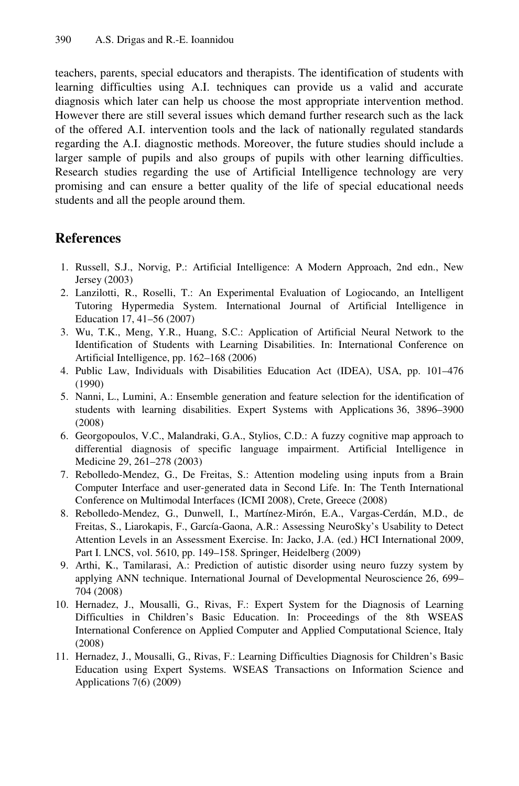teachers, parents, special educators and therapists. The identification of students with learning difficulties using A.I. techniques can provide us a valid and accurate diagnosis which later can help us choose the most appropriate intervention method. However there are still several issues which demand further research such as the lack of the offered A.I. intervention tools and the lack of nationally regulated standards regarding the A.I. diagnostic methods. Moreover, the future studies should include a larger sample of pupils and also groups of pupils with other learning difficulties. Research studies regarding the use of Artificial Intelligence technology are very promising and can ensure a better quality of the life of special educational needs students and all the people around them.

## **References**

- 1. Russell, S.J., Norvig, P.: Artificial Intelligence: A Modern Approach, 2nd edn., New Jersey (2003)
- 2. Lanzilotti, R., Roselli, T.: An Experimental Evaluation of Logiocando, an Intelligent Tutoring Hypermedia System. International Journal of Artificial Intelligence in Education 17, 41–56 (2007)
- 3. Wu, T.K., Meng, Y.R., Huang, S.C.: Application of Artificial Neural Network to the Identification of Students with Learning Disabilities. In: International Conference on Artificial Intelligence, pp. 162–168 (2006)
- 4. Public Law, Individuals with Disabilities Education Act (IDEA), USA, pp. 101–476 (1990)
- 5. Nanni, L., Lumini, A.: Ensemble generation and feature selection for the identification of students with learning disabilities. Expert Systems with Applications 36, 3896–3900 (2008)
- 6. Georgopoulos, V.C., Malandraki, G.A., Stylios, C.D.: A fuzzy cognitive map approach to differential diagnosis of specific language impairment. Artificial Intelligence in Medicine 29, 261–278 (2003)
- 7. Rebolledo-Mendez, G., De Freitas, S.: Attention modeling using inputs from a Brain Computer Interface and user-generated data in Second Life. In: The Tenth International Conference on Multimodal Interfaces (ICMI 2008), Crete, Greece (2008)
- 8. Rebolledo-Mendez, G., Dunwell, I., Martínez-Mirón, E.A., Vargas-Cerdán, M.D., de Freitas, S., Liarokapis, F., García-Gaona, A.R.: Assessing NeuroSky's Usability to Detect Attention Levels in an Assessment Exercise. In: Jacko, J.A. (ed.) HCI International 2009, Part I. LNCS, vol. 5610, pp. 149–158. Springer, Heidelberg (2009)
- 9. Arthi, K., Tamilarasi, A.: Prediction of autistic disorder using neuro fuzzy system by applying ANN technique. International Journal of Developmental Neuroscience 26, 699– 704 (2008)
- 10. Hernadez, J., Mousalli, G., Rivas, F.: Expert System for the Diagnosis of Learning Difficulties in Children's Basic Education. In: Proceedings of the 8th WSEAS International Conference on Applied Computer and Applied Computational Science, Italy (2008)
- 11. Hernadez, J., Mousalli, G., Rivas, F.: Learning Difficulties Diagnosis for Children's Basic Education using Expert Systems. WSEAS Transactions on Information Science and Applications 7(6) (2009)